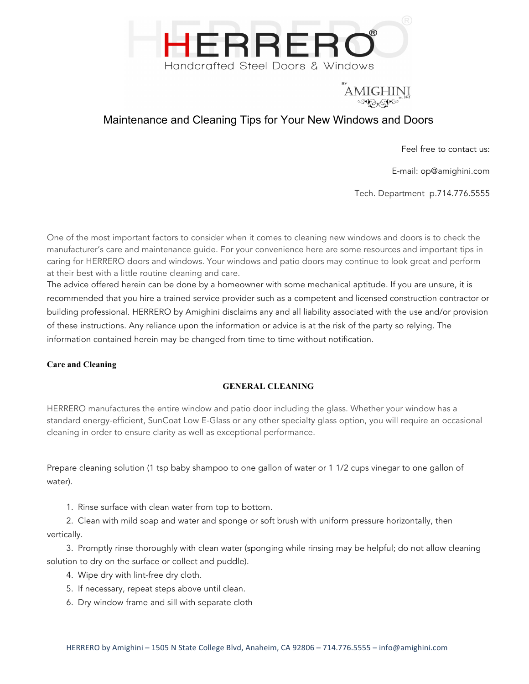



# Maintenance and Cleaning Tips for Your New Windows and Doors

Feel free to contact us:

E-mail: op@amighini.com

Tech. Department p.714.776.5555

One of the most important factors to consider when it comes to cleaning new windows and doors is to check the manufacturer's care and maintenance guide. For your convenience here are some resources and important tips in caring for HERRERO doors and windows. Your windows and patio doors may continue to look great and perform at their best with a little routine cleaning and care.

The advice offered herein can be done by a homeowner with some mechanical aptitude. If you are unsure, it is recommended that you hire a trained service provider such as a competent and licensed construction contractor or building professional. HERRERO by Amighini disclaims any and all liability associated with the use and/or provision of these instructions. Any reliance upon the information or advice is at the risk of the party so relying. The information contained herein may be changed from time to time without notification.

## **Care and Cleaning**

#### **GENERAL CLEANING**

HERRERO manufactures the entire window and patio door including the glass. Whether your window has a standard energy-efficient, SunCoat Low E-Glass or any other specialty glass option, you will require an occasional cleaning in order to ensure clarity as well as exceptional performance.

Prepare cleaning solution (1 tsp baby shampoo to one gallon of water or 1 1/2 cups vinegar to one gallon of water).

1. Rinse surface with clean water from top to bottom.

2. Clean with mild soap and water and sponge or soft brush with uniform pressure horizontally, then vertically.

3. Promptly rinse thoroughly with clean water (sponging while rinsing may be helpful; do not allow cleaning solution to dry on the surface or collect and puddle).

- 4. Wipe dry with lint-free dry cloth.
- 5. If necessary, repeat steps above until clean.
- 6. Dry window frame and sill with separate cloth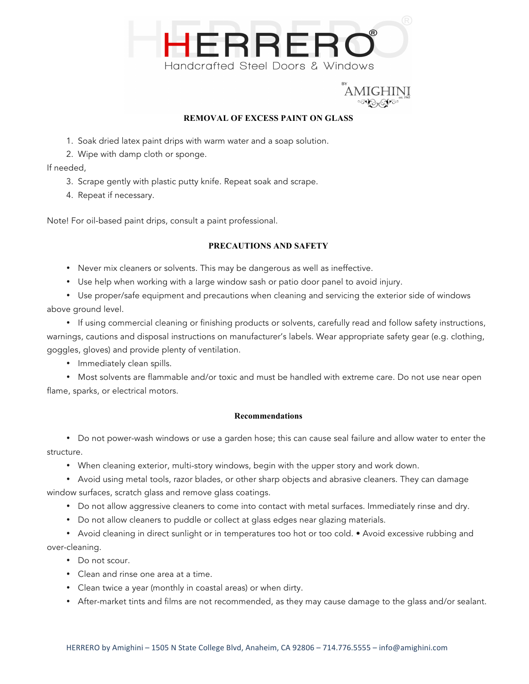

# AMIGHINI

### **REMOVAL OF EXCESS PAINT ON GLASS**

- 1. Soak dried latex paint drips with warm water and a soap solution.
- 2. Wipe with damp cloth or sponge.

If needed,

- 3. Scrape gently with plastic putty knife. Repeat soak and scrape.
- 4. Repeat if necessary.

Note! For oil-based paint drips, consult a paint professional.

#### **PRECAUTIONS AND SAFETY**

- Never mix cleaners or solvents. This may be dangerous as well as ineffective.
- Use help when working with a large window sash or patio door panel to avoid injury.

• Use proper/safe equipment and precautions when cleaning and servicing the exterior side of windows above ground level.

• If using commercial cleaning or finishing products or solvents, carefully read and follow safety instructions, warnings, cautions and disposal instructions on manufacturer's labels. Wear appropriate safety gear (e.g. clothing, goggles, gloves) and provide plenty of ventilation.

• Immediately clean spills.

• Most solvents are flammable and/or toxic and must be handled with extreme care. Do not use near open flame, sparks, or electrical motors.

#### **Recommendations**

• Do not power-wash windows or use a garden hose; this can cause seal failure and allow water to enter the structure.

• When cleaning exterior, multi-story windows, begin with the upper story and work down.

• Avoid using metal tools, razor blades, or other sharp objects and abrasive cleaners. They can damage window surfaces, scratch glass and remove glass coatings.

- Do not allow aggressive cleaners to come into contact with metal surfaces. Immediately rinse and dry.
- Do not allow cleaners to puddle or collect at glass edges near glazing materials.

• Avoid cleaning in direct sunlight or in temperatures too hot or too cold. • Avoid excessive rubbing and over-cleaning.

- Do not scour.
- Clean and rinse one area at a time.
- Clean twice a year (monthly in coastal areas) or when dirty.
- After-market tints and films are not recommended, as they may cause damage to the glass and/or sealant.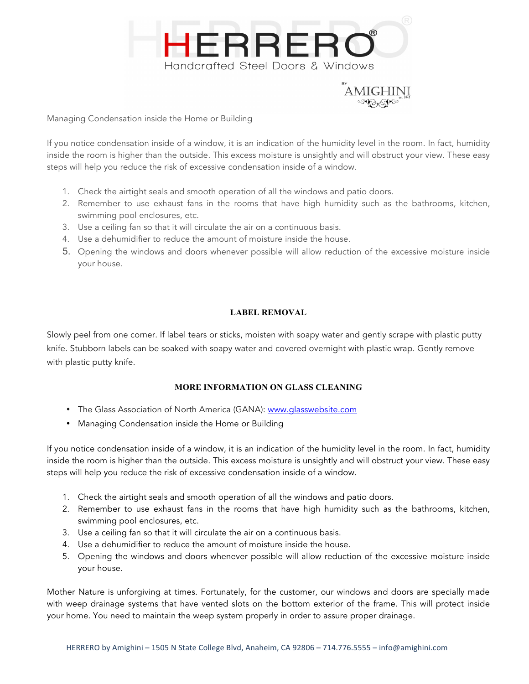

AMIGHINI

Managing Condensation inside the Home or Building

If you notice condensation inside of a window, it is an indication of the humidity level in the room. In fact, humidity inside the room is higher than the outside. This excess moisture is unsightly and will obstruct your view. These easy steps will help you reduce the risk of excessive condensation inside of a window.

- 1. Check the airtight seals and smooth operation of all the windows and patio doors.
- 2. Remember to use exhaust fans in the rooms that have high humidity such as the bathrooms, kitchen, swimming pool enclosures, etc.
- 3. Use a ceiling fan so that it will circulate the air on a continuous basis.
- 4. Use a dehumidifier to reduce the amount of moisture inside the house.
- 5. Opening the windows and doors whenever possible will allow reduction of the excessive moisture inside your house.

#### **LABEL REMOVAL**

Slowly peel from one corner. If label tears or sticks, moisten with soapy water and gently scrape with plastic putty knife. Stubborn labels can be soaked with soapy water and covered overnight with plastic wrap. Gently remove with plastic putty knife.

#### **MORE INFORMATION ON GLASS CLEANING**

- The Glass Association of North America (GANA): www.glasswebsite.com
- Managing Condensation inside the Home or Building

If you notice condensation inside of a window, it is an indication of the humidity level in the room. In fact, humidity inside the room is higher than the outside. This excess moisture is unsightly and will obstruct your view. These easy steps will help you reduce the risk of excessive condensation inside of a window.

- 1. Check the airtight seals and smooth operation of all the windows and patio doors.
- 2. Remember to use exhaust fans in the rooms that have high humidity such as the bathrooms, kitchen, swimming pool enclosures, etc.
- 3. Use a ceiling fan so that it will circulate the air on a continuous basis.
- 4. Use a dehumidifier to reduce the amount of moisture inside the house.
- 5. Opening the windows and doors whenever possible will allow reduction of the excessive moisture inside your house.

Mother Nature is unforgiving at times. Fortunately, for the customer, our windows and doors are specially made with weep drainage systems that have vented slots on the bottom exterior of the frame. This will protect inside your home. You need to maintain the weep system properly in order to assure proper drainage.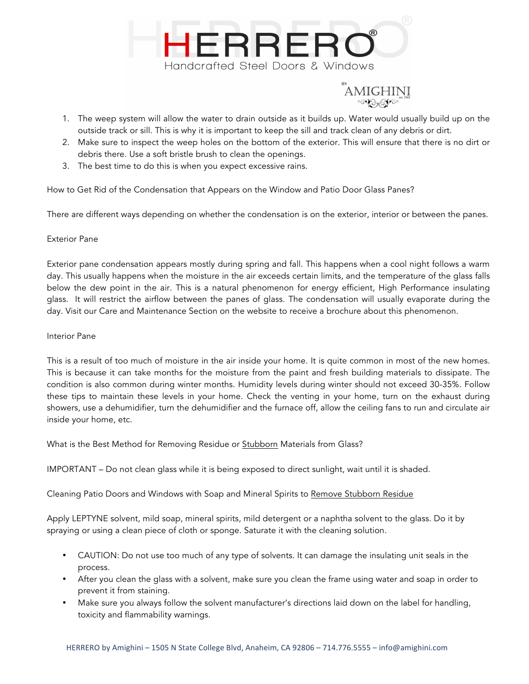



- 1. The weep system will allow the water to drain outside as it builds up. Water would usually build up on the outside track or sill. This is why it is important to keep the sill and track clean of any debris or dirt.
- 2. Make sure to inspect the weep holes on the bottom of the exterior. This will ensure that there is no dirt or debris there. Use a soft bristle brush to clean the openings.
- 3. The best time to do this is when you expect excessive rains.

How to Get Rid of the Condensation that Appears on the Window and Patio Door Glass Panes?

There are different ways depending on whether the condensation is on the exterior, interior or between the panes.

#### Exterior Pane

Exterior pane condensation appears mostly during spring and fall. This happens when a cool night follows a warm day. This usually happens when the moisture in the air exceeds certain limits, and the temperature of the glass falls below the dew point in the air. This is a natural phenomenon for energy efficient, High Performance insulating glass. It will restrict the airflow between the panes of glass. The condensation will usually evaporate during the day. Visit our Care and Maintenance Section on the website to receive a brochure about this phenomenon.

#### Interior Pane

This is a result of too much of moisture in the air inside your home. It is quite common in most of the new homes. This is because it can take months for the moisture from the paint and fresh building materials to dissipate. The condition is also common during winter months. Humidity levels during winter should not exceed 30-35%. Follow these tips to maintain these levels in your home. Check the venting in your home, turn on the exhaust during showers, use a dehumidifier, turn the dehumidifier and the furnace off, allow the ceiling fans to run and circulate air inside your home, etc.

What is the Best Method for Removing Residue or **Stubborn** Materials from Glass?

IMPORTANT – Do not clean glass while it is being exposed to direct sunlight, wait until it is shaded.

Cleaning Patio Doors and Windows with Soap and Mineral Spirits to Remove Stubborn Residue

Apply LEPTYNE solvent, mild soap, mineral spirits, mild detergent or a naphtha solvent to the glass. Do it by spraying or using a clean piece of cloth or sponge. Saturate it with the cleaning solution.

- CAUTION: Do not use too much of any type of solvents. It can damage the insulating unit seals in the process.
- After you clean the glass with a solvent, make sure you clean the frame using water and soap in order to prevent it from staining.
- Make sure you always follow the solvent manufacturer's directions laid down on the label for handling, toxicity and flammability warnings.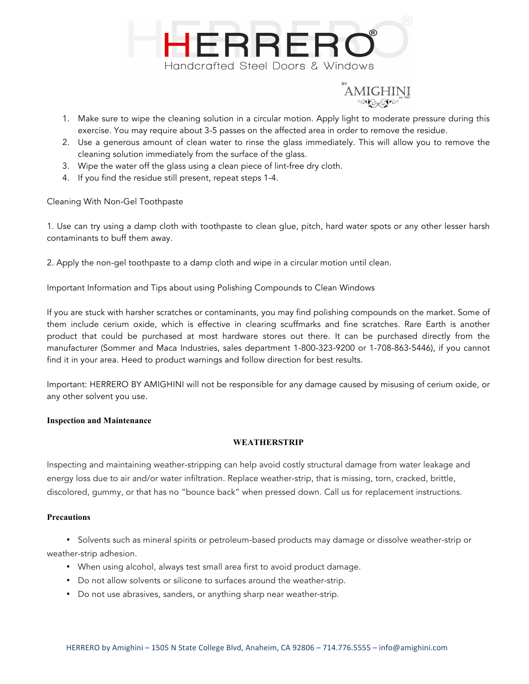



- 1. Make sure to wipe the cleaning solution in a circular motion. Apply light to moderate pressure during this exercise. You may require about 3-5 passes on the affected area in order to remove the residue.
- 2. Use a generous amount of clean water to rinse the glass immediately. This will allow you to remove the cleaning solution immediately from the surface of the glass.
- 3. Wipe the water off the glass using a clean piece of lint-free dry cloth.
- 4. If you find the residue still present, repeat steps 1-4.

Cleaning With Non-Gel Toothpaste

1. Use can try using a damp cloth with toothpaste to clean glue, pitch, hard water spots or any other lesser harsh contaminants to buff them away.

2. Apply the non-gel toothpaste to a damp cloth and wipe in a circular motion until clean.

Important Information and Tips about using Polishing Compounds to Clean Windows

If you are stuck with harsher scratches or contaminants, you may find polishing compounds on the market. Some of them include cerium oxide, which is effective in clearing scuffmarks and fine scratches. Rare Earth is another product that could be purchased at most hardware stores out there. It can be purchased directly from the manufacturer (Sommer and Maca Industries, sales department 1-800-323-9200 or 1-708-863-5446), if you cannot find it in your area. Heed to product warnings and follow direction for best results.

Important: HERRERO BY AMIGHINI will not be responsible for any damage caused by misusing of cerium oxide, or any other solvent you use.

#### **Inspection and Maintenance**

#### **WEATHERSTRIP**

Inspecting and maintaining weather-stripping can help avoid costly structural damage from water leakage and energy loss due to air and/or water infiltration. Replace weather-strip, that is missing, torn, cracked, brittle, discolored, gummy, or that has no "bounce back" when pressed down. Call us for replacement instructions.

#### **Precautions**

• Solvents such as mineral spirits or petroleum-based products may damage or dissolve weather-strip or weather-strip adhesion.

- When using alcohol, always test small area first to avoid product damage.
- Do not allow solvents or silicone to surfaces around the weather-strip.
- Do not use abrasives, sanders, or anything sharp near weather-strip.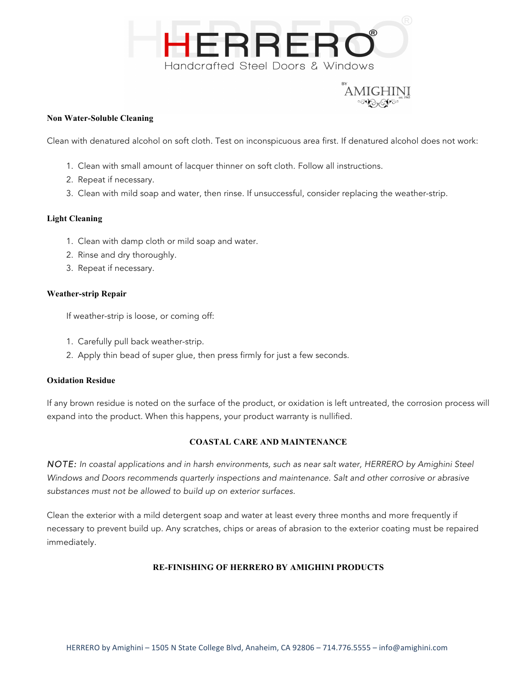

# AMIGHIN<sub>est. 1945</sub>

#### **Non Water-Soluble Cleaning**

Clean with denatured alcohol on soft cloth. Test on inconspicuous area first. If denatured alcohol does not work:

- 1. Clean with small amount of lacquer thinner on soft cloth. Follow all instructions.
- 2. Repeat if necessary.
- 3. Clean with mild soap and water, then rinse. If unsuccessful, consider replacing the weather-strip.

#### **Light Cleaning**

- 1. Clean with damp cloth or mild soap and water.
- 2. Rinse and dry thoroughly.
- 3. Repeat if necessary.

#### **Weather-strip Repair**

If weather-strip is loose, or coming off:

- 1. Carefully pull back weather-strip.
- 2. Apply thin bead of super glue, then press firmly for just a few seconds.

#### **Oxidation Residue**

If any brown residue is noted on the surface of the product, or oxidation is left untreated, the corrosion process will expand into the product. When this happens, your product warranty is nullified.

#### **COASTAL CARE AND MAINTENANCE**

*NOTE: In coastal applications and in harsh environments, such as near salt water, HERRERO by Amighini Steel Windows and Doors recommends quarterly inspections and maintenance. Salt and other corrosive or abrasive substances must not be allowed to build up on exterior surfaces.*

Clean the exterior with a mild detergent soap and water at least every three months and more frequently if necessary to prevent build up. Any scratches, chips or areas of abrasion to the exterior coating must be repaired immediately.

#### **RE-FINISHING OF HERRERO BY AMIGHINI PRODUCTS**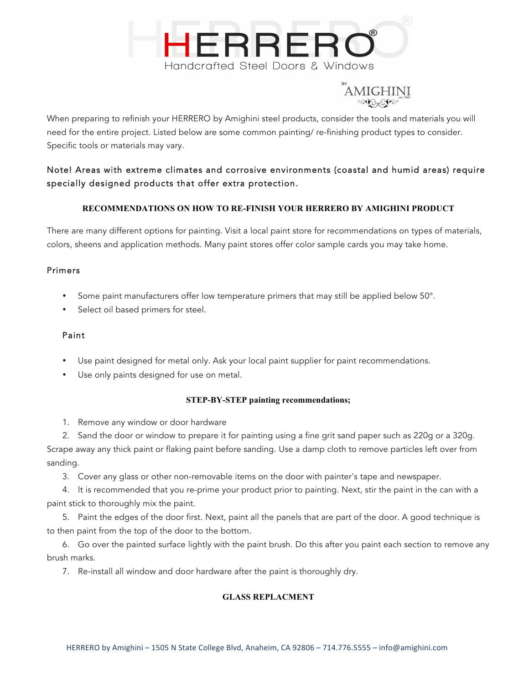



When preparing to refinish your HERRERO by Amighini steel products, consider the tools and materials you will need for the entire project. Listed below are some common painting/ re-finishing product types to consider. Specific tools or materials may vary.

# Note! Areas with extreme climates and corrosive environments (coastal and humid areas) require specially designed products that offer extra protection.

# **RECOMMENDATIONS ON HOW TO RE-FINISH YOUR HERRERO BY AMIGHINI PRODUCT**

There are many different options for painting. Visit a local paint store for recommendations on types of materials, colors, sheens and application methods. Many paint stores offer color sample cards you may take home.

# Primers

- Some paint manufacturers offer low temperature primers that may still be applied below 50°.
- Select oil based primers for steel.

# Paint

- Use paint designed for metal only. Ask your local paint supplier for paint recommendations.
- Use only paints designed for use on metal.

## **STEP-BY-STEP painting recommendations;**

- 1. Remove any window or door hardware
- 2. Sand the door or window to prepare it for painting using a fine grit sand paper such as 220g or a 320g.

Scrape away any thick paint or flaking paint before sanding. Use a damp cloth to remove particles left over from sanding.

3. Cover any glass or other non-removable items on the door with painter's tape and newspaper.

4. It is recommended that you re-prime your product prior to painting. Next, stir the paint in the can with a paint stick to thoroughly mix the paint.

5. Paint the edges of the door first. Next, paint all the panels that are part of the door. A good technique is to then paint from the top of the door to the bottom.

6. Go over the painted surface lightly with the paint brush. Do this after you paint each section to remove any brush marks.

7. Re-install all window and door hardware after the paint is thoroughly dry.

## **GLASS REPLACMENT**